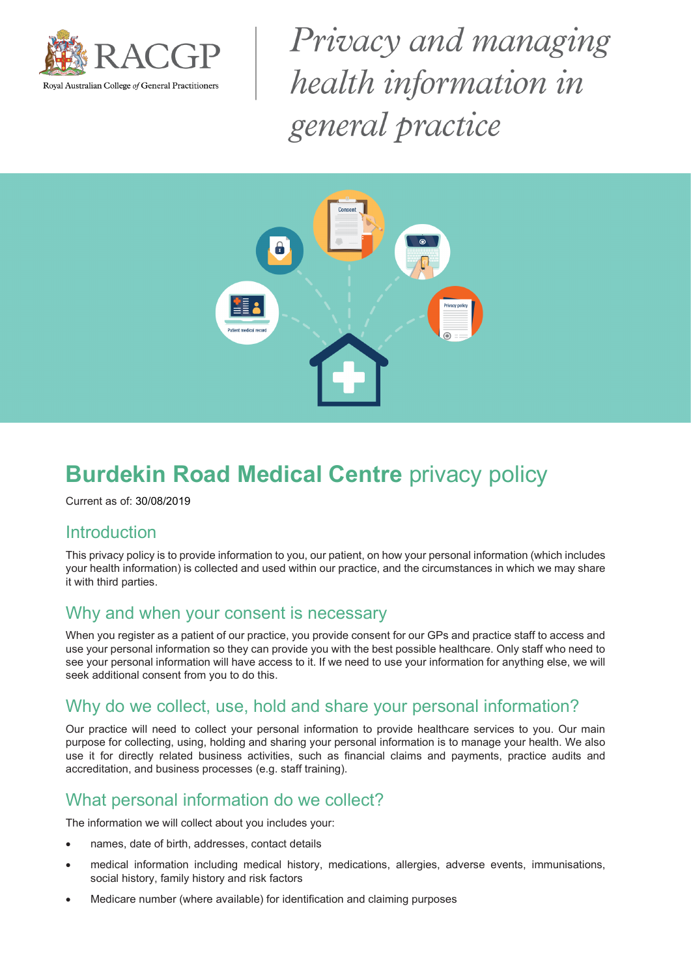

Privacy and managing health information in general practice



# Burdekin Road Medical Centre privacy policy

Current as of: 30/08/2019

## **Introduction**

This privacy policy is to provide information to you, our patient, on how your personal information (which includes your health information) is collected and used within our practice, and the circumstances in which we may share it with third parties.

#### Why and when your consent is necessary

When you register as a patient of our practice, you provide consent for our GPs and practice staff to access and use your personal information so they can provide you with the best possible healthcare. Only staff who need to see your personal information will have access to it. If we need to use your information for anything else, we will seek additional consent from you to do this.

## Why do we collect, use, hold and share your personal information?

Our practice will need to collect your personal information to provide healthcare services to you. Our main purpose for collecting, using, holding and sharing your personal information is to manage your health. We also use it for directly related business activities, such as financial claims and payments, practice audits and accreditation, and business processes (e.g. staff training).

# What personal information do we collect?

The information we will collect about you includes your:

- names, date of birth, addresses, contact details
- medical information including medical history, medications, allergies, adverse events, immunisations, social history, family history and risk factors
- Medicare number (where available) for identification and claiming purposes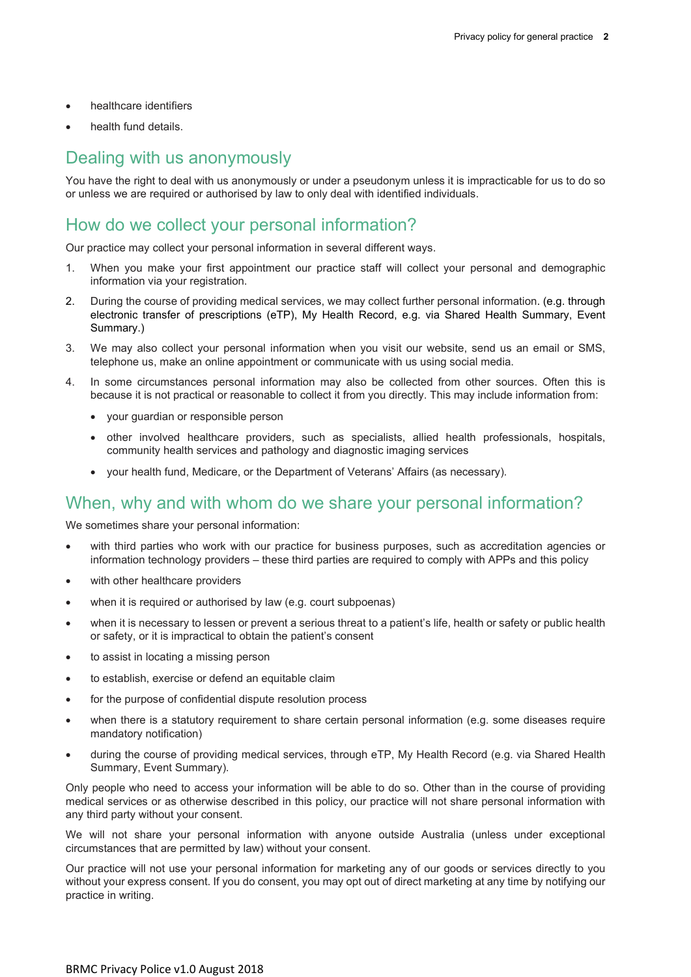- healthcare identifiers
- health fund details.

#### Dealing with us anonymously

You have the right to deal with us anonymously or under a pseudonym unless it is impracticable for us to do so or unless we are required or authorised by law to only deal with identified individuals.

## How do we collect your personal information?

Our practice may collect your personal information in several different ways.

- 1. When you make your first appointment our practice staff will collect your personal and demographic information via your registration.
- 2. During the course of providing medical services, we may collect further personal information. (e.g. through electronic transfer of prescriptions (eTP), My Health Record, e.g. via Shared Health Summary, Event Summary.)
- 3. We may also collect your personal information when you visit our website, send us an email or SMS, telephone us, make an online appointment or communicate with us using social media.
- 4. In some circumstances personal information may also be collected from other sources. Often this is because it is not practical or reasonable to collect it from you directly. This may include information from:
	- your guardian or responsible person
	- other involved healthcare providers, such as specialists, allied health professionals, hospitals, community health services and pathology and diagnostic imaging services
	- your health fund, Medicare, or the Department of Veterans' Affairs (as necessary).

### When, why and with whom do we share your personal information?

We sometimes share your personal information:

- with third parties who work with our practice for business purposes, such as accreditation agencies or information technology providers – these third parties are required to comply with APPs and this policy
- with other healthcare providers
- when it is required or authorised by law (e.g. court subpoenas)
- when it is necessary to lessen or prevent a serious threat to a patient's life, health or safety or public health or safety, or it is impractical to obtain the patient's consent
- to assist in locating a missing person
- to establish, exercise or defend an equitable claim
- for the purpose of confidential dispute resolution process
- when there is a statutory requirement to share certain personal information (e.g. some diseases require mandatory notification)
- during the course of providing medical services, through eTP, My Health Record (e.g. via Shared Health Summary, Event Summary).

Only people who need to access your information will be able to do so. Other than in the course of providing medical services or as otherwise described in this policy, our practice will not share personal information with any third party without your consent.

We will not share your personal information with anyone outside Australia (unless under exceptional circumstances that are permitted by law) without your consent.

Our practice will not use your personal information for marketing any of our goods or services directly to you without your express consent. If you do consent, you may opt out of direct marketing at any time by notifying our practice in writing.